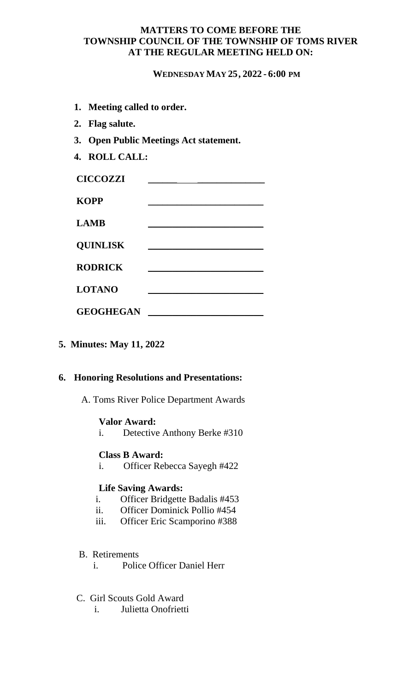### **MATTERS TO COME BEFORE THE TOWNSHIP COUNCIL OF THE TOWNSHIP OF TOMS RIVER AT THE REGULAR MEETING HELD ON:**

### **WEDNESDAY MAY 25, 2022 - 6:00 PM**

- **1. Meeting called to order.**
- **2. Flag salute.**
- **3. Open Public Meetings Act statement.**
- **4. ROLL CALL:**

| <b>CICCOZZI</b>  |  |
|------------------|--|
| <b>KOPP</b>      |  |
| <b>LAMB</b>      |  |
| <b>QUINLISK</b>  |  |
| <b>RODRICK</b>   |  |
| <b>LOTANO</b>    |  |
| <b>GEOGHEGAN</b> |  |

**5. Minutes: May 11, 2022**

#### **6. Honoring Resolutions and Presentations:**

A. Toms River Police Department Awards

#### **Valor Award:**

i. Detective Anthony Berke #310

### **Class B Award:**

i. Officer Rebecca Sayegh #422

### **Life Saving Awards:**

- i. Officer Bridgette Badalis #453
- ii. Officer Dominick Pollio #454
- iii. Officer Eric Scamporino #388
- B. Retirements
	- i. Police Officer Daniel Herr
- C. Girl Scouts Gold Award
	- i. Julietta Onofrietti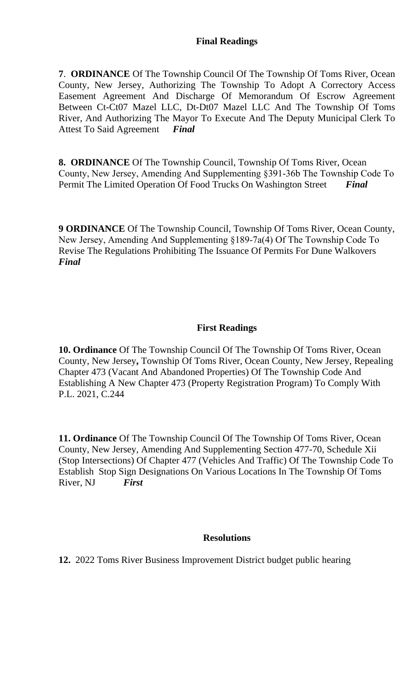**7**. **ORDINANCE** Of The Township Council Of The Township Of Toms River, Ocean County, New Jersey, Authorizing The Township To Adopt A Correctory Access Easement Agreement And Discharge Of Memorandum Of Escrow Agreement Between Ct-Ct07 Mazel LLC, Dt-Dt07 Mazel LLC And The Township Of Toms River, And Authorizing The Mayor To Execute And The Deputy Municipal Clerk To Attest To Said Agreement *Final*

**8. ORDINANCE** Of The Township Council, Township Of Toms River, Ocean County, New Jersey, Amending And Supplementing §391-36b The Township Code To Permit The Limited Operation Of Food Trucks On Washington Street *Final*

**9 ORDINANCE** Of The Township Council, Township Of Toms River, Ocean County, New Jersey, Amending And Supplementing §189-7a(4) Of The Township Code To Revise The Regulations Prohibiting The Issuance Of Permits For Dune Walkovers *Final*

### **First Readings**

**10. Ordinance** Of The Township Council Of The Township Of Toms River, Ocean County, New Jersey**,** Township Of Toms River, Ocean County, New Jersey, Repealing Chapter 473 (Vacant And Abandoned Properties) Of The Township Code And Establishing A New Chapter 473 (Property Registration Program) To Comply With P.L. 2021, C.244

**11. Ordinance** Of The Township Council Of The Township Of Toms River, Ocean County, New Jersey, Amending And Supplementing Section 477-70, Schedule Xii (Stop Intersections) Of Chapter 477 (Vehicles And Traffic) Of The Township Code To Establish Stop Sign Designations On Various Locations In The Township Of Toms River, NJ *First*

### **Resolutions**

**12.** 2022 Toms River Business Improvement District budget public hearing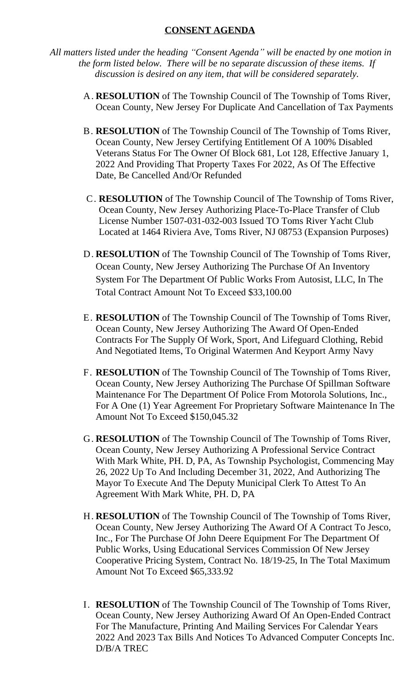### **CONSENT AGENDA**

*All matters listed under the heading "Consent Agenda" will be enacted by one motion in the form listed below. There will be no separate discussion of these items. If discussion is desired on any item, that will be considered separately.*

- A. **RESOLUTION** of The Township Council of The Township of Toms River, Ocean County, New Jersey For Duplicate And Cancellation of Tax Payments
- B. **RESOLUTION** of The Township Council of The Township of Toms River, Ocean County, New Jersey Certifying Entitlement Of A 100% Disabled Veterans Status For The Owner Of Block 681, Lot 128, Effective January 1, 2022 And Providing That Property Taxes For 2022, As Of The Effective Date, Be Cancelled And/Or Refunded
- C. **RESOLUTION** of The Township Council of The Township of Toms River, Ocean County, New Jersey Authorizing Place-To-Place Transfer of Club License Number 1507-031-032-003 Issued TO Toms River Yacht Club Located at 1464 Riviera Ave, Toms River, NJ 08753 (Expansion Purposes)
- D. **RESOLUTION** of The Township Council of The Township of Toms River, Ocean County, New Jersey Authorizing The Purchase Of An Inventory System For The Department Of Public Works From Autosist, LLC, In The Total Contract Amount Not To Exceed \$33,100.00
- E. **RESOLUTION** of The Township Council of The Township of Toms River, Ocean County, New Jersey Authorizing The Award Of Open-Ended Contracts For The Supply Of Work, Sport, And Lifeguard Clothing, Rebid And Negotiated Items, To Original Watermen And Keyport Army Navy
- F. **RESOLUTION** of The Township Council of The Township of Toms River, Ocean County, New Jersey Authorizing The Purchase Of Spillman Software Maintenance For The Department Of Police From Motorola Solutions, Inc., For A One (1) Year Agreement For Proprietary Software Maintenance In The Amount Not To Exceed \$150,045.32
- G. **RESOLUTION** of The Township Council of The Township of Toms River, Ocean County, New Jersey Authorizing A Professional Service Contract With Mark White, PH. D, PA, As Township Psychologist, Commencing May 26, 2022 Up To And Including December 31, 2022, And Authorizing The Mayor To Execute And The Deputy Municipal Clerk To Attest To An Agreement With Mark White, PH. D, PA
- H. **RESOLUTION** of The Township Council of The Township of Toms River, Ocean County, New Jersey Authorizing The Award Of A Contract To Jesco, Inc., For The Purchase Of John Deere Equipment For The Department Of Public Works, Using Educational Services Commission Of New Jersey Cooperative Pricing System, Contract No. 18/19-25, In The Total Maximum Amount Not To Exceed \$65,333.92
- I. **RESOLUTION** of The Township Council of The Township of Toms River, Ocean County, New Jersey Authorizing Award Of An Open-Ended Contract For The Manufacture, Printing And Mailing Services For Calendar Years 2022 And 2023 Tax Bills And Notices To Advanced Computer Concepts Inc. D/B/A TREC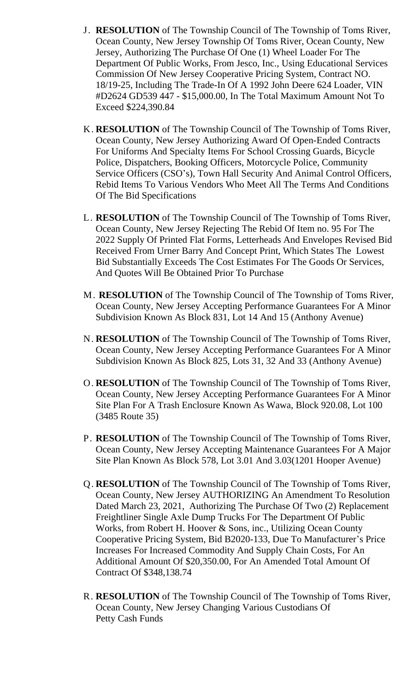- J. **RESOLUTION** of The Township Council of The Township of Toms River, Ocean County, New Jersey Township Of Toms River, Ocean County, New Jersey, Authorizing The Purchase Of One (1) Wheel Loader For The Department Of Public Works, From Jesco, Inc., Using Educational Services Commission Of New Jersey Cooperative Pricing System, Contract NO. 18/19-25, Including The Trade-In Of A 1992 John Deere 624 Loader, VIN #D2624 GD539 447 - \$15,000.00, In The Total Maximum Amount Not To Exceed \$224,390.84
- K. **RESOLUTION** of The Township Council of The Township of Toms River, Ocean County, New Jersey Authorizing Award Of Open-Ended Contracts For Uniforms And Specialty Items For School Crossing Guards, Bicycle Police, Dispatchers, Booking Officers, Motorcycle Police, Community Service Officers (CSO's), Town Hall Security And Animal Control Officers, Rebid Items To Various Vendors Who Meet All The Terms And Conditions Of The Bid Specifications
- L. **RESOLUTION** of The Township Council of The Township of Toms River, Ocean County, New Jersey Rejecting The Rebid Of Item no. 95 For The 2022 Supply Of Printed Flat Forms, Letterheads And Envelopes Revised Bid Received From Urner Barry And Concept Print, Which States The Lowest Bid Substantially Exceeds The Cost Estimates For The Goods Or Services, And Quotes Will Be Obtained Prior To Purchase
- M. **RESOLUTION** of The Township Council of The Township of Toms River, Ocean County, New Jersey Accepting Performance Guarantees For A Minor Subdivision Known As Block 831, Lot 14 And 15 (Anthony Avenue)
- N. **RESOLUTION** of The Township Council of The Township of Toms River, Ocean County, New Jersey Accepting Performance Guarantees For A Minor Subdivision Known As Block 825, Lots 31, 32 And 33 (Anthony Avenue)
- O. **RESOLUTION** of The Township Council of The Township of Toms River, Ocean County, New Jersey Accepting Performance Guarantees For A Minor Site Plan For A Trash Enclosure Known As Wawa, Block 920.08, Lot 100 (3485 Route 35)
- P. **RESOLUTION** of The Township Council of The Township of Toms River, Ocean County, New Jersey Accepting Maintenance Guarantees For A Major Site Plan Known As Block 578, Lot 3.01 And 3.03(1201 Hooper Avenue)
- Q. **RESOLUTION** of The Township Council of The Township of Toms River, Ocean County, New Jersey AUTHORIZING An Amendment To Resolution Dated March 23, 2021, Authorizing The Purchase Of Two (2) Replacement Freightliner Single Axle Dump Trucks For The Department Of Public Works, from Robert H. Hoover & Sons, inc., Utilizing Ocean County Cooperative Pricing System, Bid B2020-133, Due To Manufacturer's Price Increases For Increased Commodity And Supply Chain Costs, For An Additional Amount Of \$20,350.00, For An Amended Total Amount Of Contract Of \$348,138.74
- R. **RESOLUTION** of The Township Council of The Township of Toms River, Ocean County, New Jersey Changing Various Custodians Of Petty Cash Funds